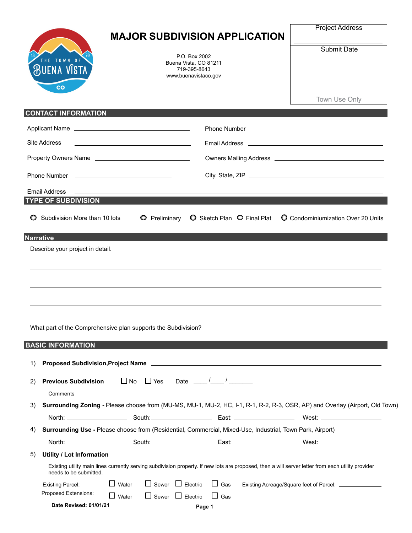| HE TOWN OF<br><b>BUENA VISTA</b><br>$\overline{\mathbf{c}}$   |              | <b>MAJOR SUBDIVISION APPLICATION</b><br>P.O. Box 2002<br>Buena Vista, CO 81211<br>719-395-8643<br>www.buenavistaco.gov |            | <b>Project Address</b><br><b>Submit Date</b>                                                                                                       |
|---------------------------------------------------------------|--------------|------------------------------------------------------------------------------------------------------------------------|------------|----------------------------------------------------------------------------------------------------------------------------------------------------|
|                                                               |              |                                                                                                                        |            | Town Use Only                                                                                                                                      |
| <b>CONTACT INFORMATION</b>                                    |              |                                                                                                                        |            |                                                                                                                                                    |
|                                                               |              |                                                                                                                        |            |                                                                                                                                                    |
| Site Address                                                  |              |                                                                                                                        |            |                                                                                                                                                    |
| Property Owners Name                                          |              |                                                                                                                        |            |                                                                                                                                                    |
|                                                               |              |                                                                                                                        |            |                                                                                                                                                    |
|                                                               |              |                                                                                                                        |            |                                                                                                                                                    |
| <b>Email Address</b><br><b>TYPE OF SUBDIVISION</b>            |              |                                                                                                                        |            |                                                                                                                                                    |
|                                                               |              |                                                                                                                        |            |                                                                                                                                                    |
| What part of the Comprehensive plan supports the Subdivision? |              |                                                                                                                        |            |                                                                                                                                                    |
| <b>BASIC INFORMATION</b>                                      |              |                                                                                                                        |            |                                                                                                                                                    |
| 1)                                                            |              |                                                                                                                        |            | Proposed Subdivision, Project Name                                                                                                                 |
| <b>Previous Subdivision</b><br>2)                             |              |                                                                                                                        |            |                                                                                                                                                    |
| 3)                                                            |              |                                                                                                                        |            | Surrounding Zoning - Please choose from (MU-MS, MU-1, MU-2, HC, I-1, R-1, R-2, R-3, OSR, AP) and Overlay (Airport, Old Town)                       |
|                                                               |              |                                                                                                                        |            |                                                                                                                                                    |
| 4)                                                            |              | Surrounding Use - Please choose from (Residential, Commercial, Mixed-Use, Industrial, Town Park, Airport)              |            |                                                                                                                                                    |
|                                                               |              |                                                                                                                        |            |                                                                                                                                                    |
| <b>Utility / Lot Information</b><br>5)                        |              |                                                                                                                        |            |                                                                                                                                                    |
| needs to be submitted.                                        |              |                                                                                                                        |            | Existing utility main lines currently serving subdivision property. If new lots are proposed, then a will server letter from each utility provider |
| <b>Existing Parcel:</b>                                       | $\Box$ Water | $\Box$ Sewer $\Box$ Electric                                                                                           | $\Box$ Gas | Existing Acreage/Square feet of Parcel: _______________                                                                                            |
| Proposed Extensions:                                          | $\Box$ Water | $\Box$ Sewer $\Box$ Electric                                                                                           | $\Box$ Gas |                                                                                                                                                    |
| Date Revised: 01/01/21                                        |              |                                                                                                                        | Page 1     |                                                                                                                                                    |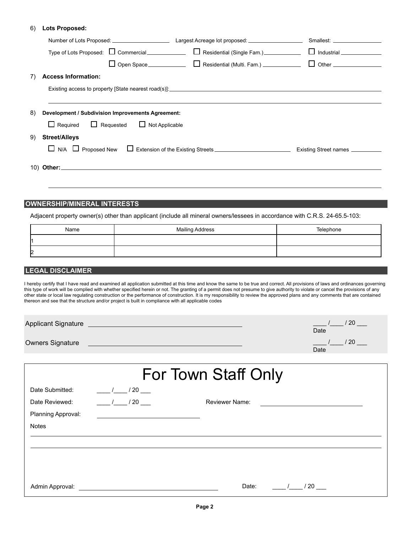## **Lots Proposed:** 6)

|                                                                                              | Smallest: ___________________ |
|----------------------------------------------------------------------------------------------|-------------------------------|
|                                                                                              |                               |
|                                                                                              |                               |
| <b>Access Information:</b><br>7)                                                             |                               |
|                                                                                              |                               |
| 8)<br>Development / Subdivision Improvements Agreement:                                      |                               |
| $\Box$ Required $\Box$ Requested $\Box$ Not Applicable                                       |                               |
| <b>Street/Alleys</b><br>9)                                                                   |                               |
| $\Box$ N/A $\Box$ Proposed New $\Box$ Extension of the Existing Streets ____________________ | Existing Street names         |
|                                                                                              |                               |
|                                                                                              |                               |
|                                                                                              |                               |
| <b>OWNERSHIP/MINERAL INTERESTS</b>                                                           |                               |

Adjacent property owner(s) other than applicant (include all mineral owners/lessees in accordance with C.R.S. 24-65.5-103:

| Name           | <b>Mailing Address</b> | Telephone |
|----------------|------------------------|-----------|
|                |                        |           |
| $\overline{2}$ |                        |           |

## **LEGAL DISCLAIMER**

I hereby certify that I have read and examined all application submitted at this time and know the same to be true and correct. All provisions of laws and ordinances governing this type of work will be complied with whether specified herein or not. The granting of a permit does not presume to give authority to violate or cancel the provisions of any other state or local law regulating construction or the performance of construction. It is my responsibility to review the approved plans and any comments that are contained thereon and see that the structure and/or project is built in compliance with all applicable codes

| <b>Applicant Signature</b> | 20<br>$\sim$ $\sim$<br>Date |
|----------------------------|-----------------------------|
| <b>Owners Signature</b>    | -20<br>Date                 |

| For Town Staff Only |                |                                     |  |  |
|---------------------|----------------|-------------------------------------|--|--|
| Date Submitted:     | $\frac{1}{20}$ |                                     |  |  |
| Date Reviewed:      | $/20$ $\_\_$   | <b>Reviewer Name:</b>               |  |  |
| Planning Approval:  |                |                                     |  |  |
| <b>Notes</b>        |                |                                     |  |  |
|                     |                |                                     |  |  |
|                     |                |                                     |  |  |
|                     |                |                                     |  |  |
|                     |                |                                     |  |  |
| Admin Approval:     |                | Date:<br>$^{\prime}$ 20 $^{\prime}$ |  |  |